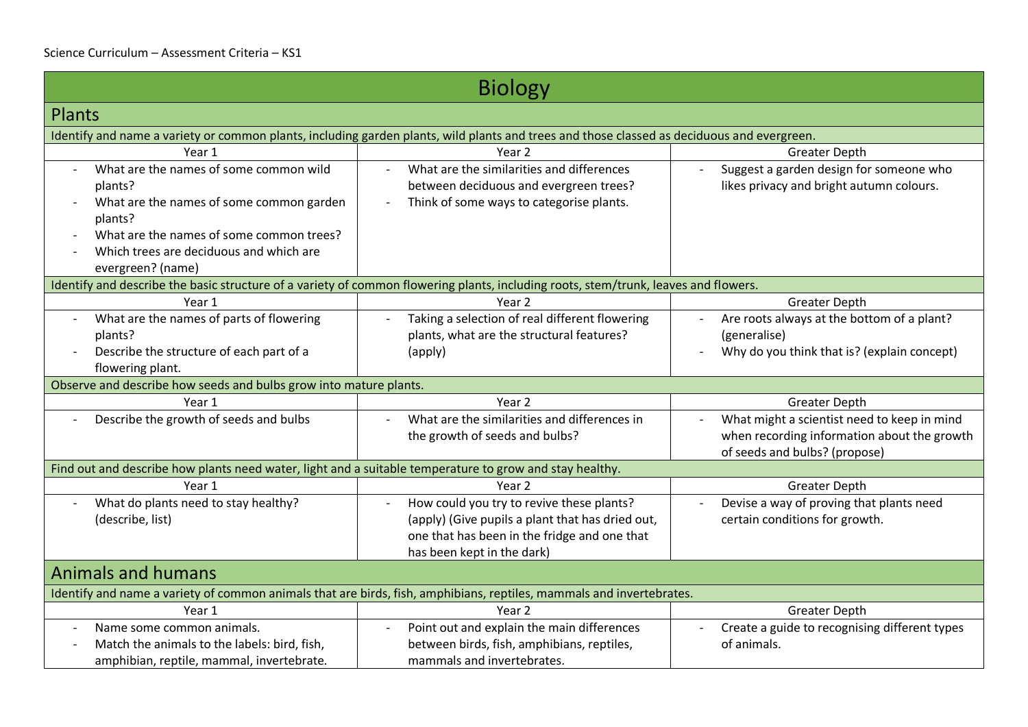| <b>Biology</b>                                                                                                                                                                                                                                   |                                                                                                                                                                             |                                                                                                                             |
|--------------------------------------------------------------------------------------------------------------------------------------------------------------------------------------------------------------------------------------------------|-----------------------------------------------------------------------------------------------------------------------------------------------------------------------------|-----------------------------------------------------------------------------------------------------------------------------|
| <b>Plants</b>                                                                                                                                                                                                                                    |                                                                                                                                                                             |                                                                                                                             |
|                                                                                                                                                                                                                                                  | Identify and name a variety or common plants, including garden plants, wild plants and trees and those classed as deciduous and evergreen.                                  |                                                                                                                             |
| Year 1                                                                                                                                                                                                                                           | Year <sub>2</sub>                                                                                                                                                           | <b>Greater Depth</b>                                                                                                        |
| What are the names of some common wild<br>plants?<br>What are the names of some common garden<br>$\overline{\phantom{a}}$<br>plants?<br>What are the names of some common trees?<br>Which trees are deciduous and which are<br>evergreen? (name) | What are the similarities and differences<br>between deciduous and evergreen trees?<br>Think of some ways to categorise plants.<br>$\qquad \qquad \blacksquare$             | Suggest a garden design for someone who<br>$\overline{\phantom{a}}$<br>likes privacy and bright autumn colours.             |
|                                                                                                                                                                                                                                                  | Identify and describe the basic structure of a variety of common flowering plants, including roots, stem/trunk, leaves and flowers.                                         |                                                                                                                             |
| Year 1                                                                                                                                                                                                                                           | Year 2                                                                                                                                                                      | Greater Depth                                                                                                               |
| What are the names of parts of flowering<br>$\blacksquare$<br>plants?<br>Describe the structure of each part of a<br>flowering plant.                                                                                                            | Taking a selection of real different flowering<br>plants, what are the structural features?<br>(apply)                                                                      | Are roots always at the bottom of a plant?<br>(generalise)<br>Why do you think that is? (explain concept)                   |
| Observe and describe how seeds and bulbs grow into mature plants.                                                                                                                                                                                |                                                                                                                                                                             |                                                                                                                             |
| Year 1                                                                                                                                                                                                                                           | Year <sub>2</sub>                                                                                                                                                           | <b>Greater Depth</b>                                                                                                        |
| Describe the growth of seeds and bulbs                                                                                                                                                                                                           | What are the similarities and differences in<br>$\blacksquare$<br>the growth of seeds and bulbs?                                                                            | What might a scientist need to keep in mind<br>when recording information about the growth<br>of seeds and bulbs? (propose) |
| Find out and describe how plants need water, light and a suitable temperature to grow and stay healthy.                                                                                                                                          |                                                                                                                                                                             |                                                                                                                             |
| Year 1                                                                                                                                                                                                                                           | Year 2                                                                                                                                                                      | <b>Greater Depth</b>                                                                                                        |
| What do plants need to stay healthy?<br>(describe, list)                                                                                                                                                                                         | How could you try to revive these plants?<br>(apply) (Give pupils a plant that has dried out,<br>one that has been in the fridge and one that<br>has been kept in the dark) | Devise a way of proving that plants need<br>certain conditions for growth.                                                  |
| <b>Animals and humans</b>                                                                                                                                                                                                                        |                                                                                                                                                                             |                                                                                                                             |
|                                                                                                                                                                                                                                                  | Identify and name a variety of common animals that are birds, fish, amphibians, reptiles, mammals and invertebrates.                                                        |                                                                                                                             |
| Year 1                                                                                                                                                                                                                                           | Year 2                                                                                                                                                                      | <b>Greater Depth</b>                                                                                                        |
| Name some common animals.<br>Match the animals to the labels: bird, fish,<br>amphibian, reptile, mammal, invertebrate.                                                                                                                           | Point out and explain the main differences<br>between birds, fish, amphibians, reptiles,<br>mammals and invertebrates.                                                      | Create a guide to recognising different types<br>of animals.                                                                |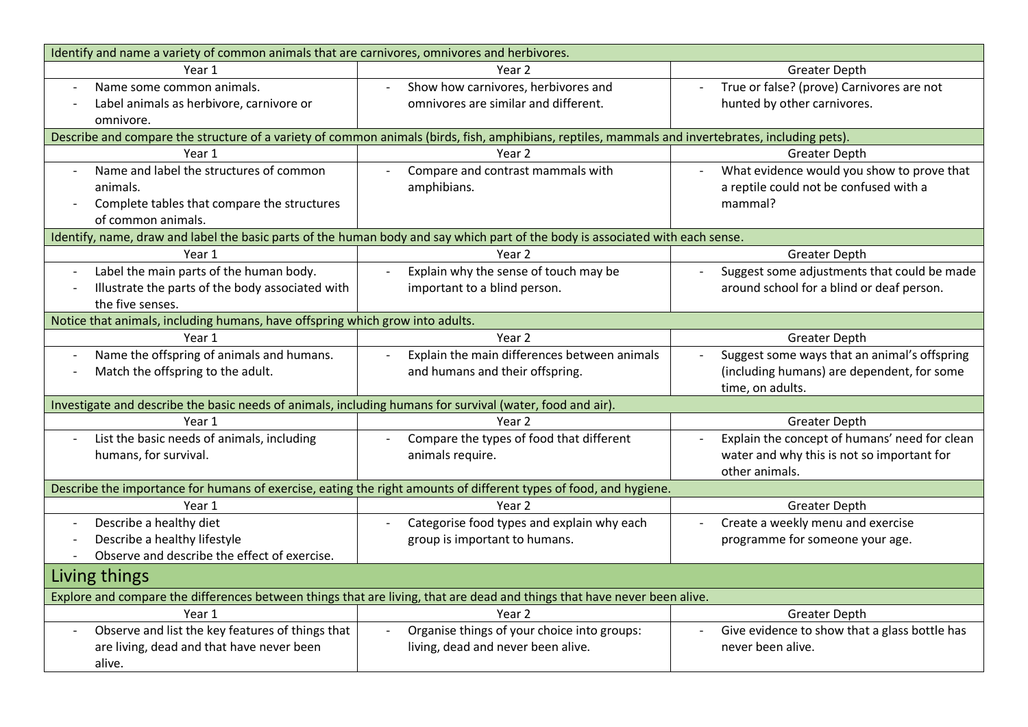| Identify and name a variety of common animals that are carnivores, omnivores and herbivores.                             |                                                                                                                                                   |                                               |
|--------------------------------------------------------------------------------------------------------------------------|---------------------------------------------------------------------------------------------------------------------------------------------------|-----------------------------------------------|
| Year 1                                                                                                                   | Year 2                                                                                                                                            | <b>Greater Depth</b>                          |
| Name some common animals.                                                                                                | Show how carnivores, herbivores and                                                                                                               | True or false? (prove) Carnivores are not     |
| Label animals as herbivore, carnivore or                                                                                 | omnivores are similar and different.                                                                                                              | hunted by other carnivores.                   |
| omnivore.                                                                                                                |                                                                                                                                                   |                                               |
|                                                                                                                          | Describe and compare the structure of a variety of common animals (birds, fish, amphibians, reptiles, mammals and invertebrates, including pets). |                                               |
| Year 1                                                                                                                   | Year 2                                                                                                                                            | <b>Greater Depth</b>                          |
| Name and label the structures of common                                                                                  | Compare and contrast mammals with                                                                                                                 | What evidence would you show to prove that    |
| animals.                                                                                                                 | amphibians.                                                                                                                                       | a reptile could not be confused with a        |
| Complete tables that compare the structures                                                                              |                                                                                                                                                   | mammal?                                       |
| of common animals.                                                                                                       |                                                                                                                                                   |                                               |
|                                                                                                                          | Identify, name, draw and label the basic parts of the human body and say which part of the body is associated with each sense.                    |                                               |
| Year 1                                                                                                                   | Year 2                                                                                                                                            | <b>Greater Depth</b>                          |
| Label the main parts of the human body.                                                                                  | Explain why the sense of touch may be                                                                                                             | Suggest some adjustments that could be made   |
| Illustrate the parts of the body associated with                                                                         | important to a blind person.                                                                                                                      | around school for a blind or deaf person.     |
| the five senses.                                                                                                         |                                                                                                                                                   |                                               |
| Notice that animals, including humans, have offspring which grow into adults.                                            |                                                                                                                                                   |                                               |
| Year 1                                                                                                                   | Year 2                                                                                                                                            | <b>Greater Depth</b>                          |
| Name the offspring of animals and humans.                                                                                | Explain the main differences between animals                                                                                                      | Suggest some ways that an animal's offspring  |
| Match the offspring to the adult.                                                                                        | and humans and their offspring.                                                                                                                   | (including humans) are dependent, for some    |
|                                                                                                                          |                                                                                                                                                   | time, on adults.                              |
| Investigate and describe the basic needs of animals, including humans for survival (water, food and air).                |                                                                                                                                                   |                                               |
| Year 1                                                                                                                   | Year 2                                                                                                                                            | <b>Greater Depth</b>                          |
| List the basic needs of animals, including                                                                               | Compare the types of food that different                                                                                                          | Explain the concept of humans' need for clean |
| humans, for survival.                                                                                                    | animals require.                                                                                                                                  | water and why this is not so important for    |
|                                                                                                                          |                                                                                                                                                   | other animals.                                |
|                                                                                                                          | Describe the importance for humans of exercise, eating the right amounts of different types of food, and hygiene.                                 |                                               |
| Year 1                                                                                                                   | Year 2                                                                                                                                            | <b>Greater Depth</b>                          |
| Describe a healthy diet                                                                                                  | Categorise food types and explain why each                                                                                                        | Create a weekly menu and exercise             |
| Describe a healthy lifestyle                                                                                             | group is important to humans.                                                                                                                     | programme for someone your age.               |
| Observe and describe the effect of exercise.                                                                             |                                                                                                                                                   |                                               |
| Living things                                                                                                            |                                                                                                                                                   |                                               |
| Explore and compare the differences between things that are living, that are dead and things that have never been alive. |                                                                                                                                                   |                                               |
| Year 1                                                                                                                   | Year <sub>2</sub>                                                                                                                                 | <b>Greater Depth</b>                          |
| Observe and list the key features of things that                                                                         | Organise things of your choice into groups:                                                                                                       | Give evidence to show that a glass bottle has |
| are living, dead and that have never been                                                                                | living, dead and never been alive.                                                                                                                | never been alive.                             |
| alive.                                                                                                                   |                                                                                                                                                   |                                               |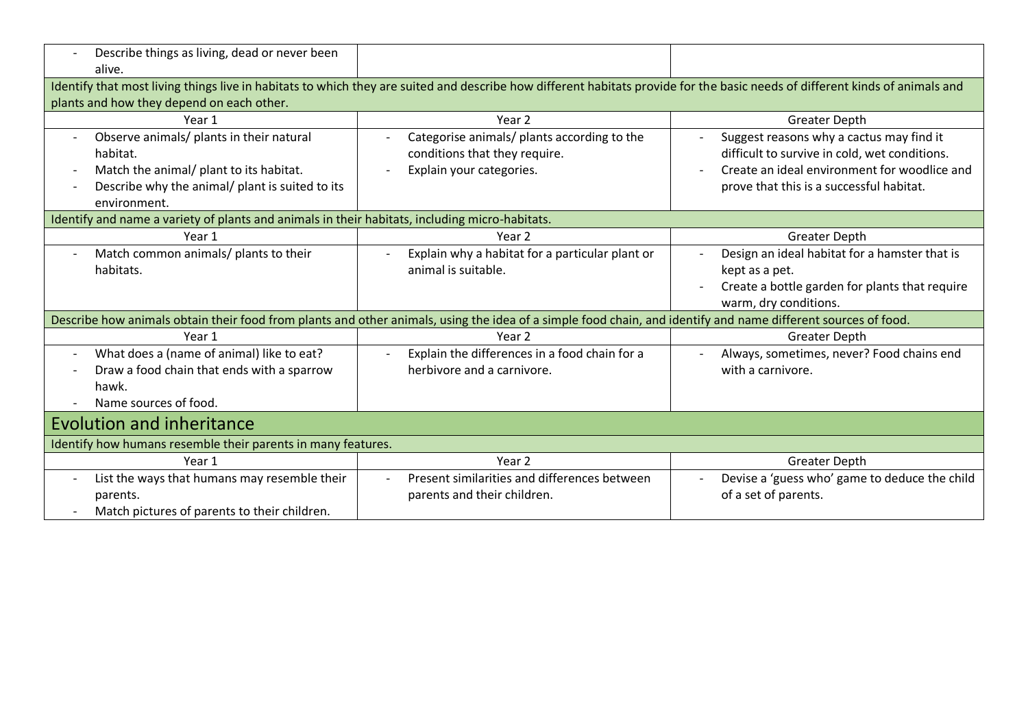| Describe things as living, dead or never been                                                  |                                                                                                                                                                              |                                                                 |
|------------------------------------------------------------------------------------------------|------------------------------------------------------------------------------------------------------------------------------------------------------------------------------|-----------------------------------------------------------------|
| alive.                                                                                         |                                                                                                                                                                              |                                                                 |
|                                                                                                | Identify that most living things live in habitats to which they are suited and describe how different habitats provide for the basic needs of different kinds of animals and |                                                                 |
| plants and how they depend on each other.                                                      |                                                                                                                                                                              |                                                                 |
| Year 1                                                                                         | Year <sub>2</sub>                                                                                                                                                            | <b>Greater Depth</b>                                            |
| Observe animals/ plants in their natural                                                       | Categorise animals/ plants according to the                                                                                                                                  | Suggest reasons why a cactus may find it                        |
| habitat.                                                                                       | conditions that they require.                                                                                                                                                | difficult to survive in cold, wet conditions.                   |
| Match the animal/ plant to its habitat.                                                        | Explain your categories.                                                                                                                                                     | Create an ideal environment for woodlice and                    |
| Describe why the animal/ plant is suited to its<br>$\overline{\phantom{a}}$                    |                                                                                                                                                                              | prove that this is a successful habitat.                        |
| environment.                                                                                   |                                                                                                                                                                              |                                                                 |
| Identify and name a variety of plants and animals in their habitats, including micro-habitats. |                                                                                                                                                                              |                                                                 |
| Year 1                                                                                         | Year 2                                                                                                                                                                       | <b>Greater Depth</b>                                            |
| Match common animals/ plants to their                                                          | Explain why a habitat for a particular plant or                                                                                                                              | Design an ideal habitat for a hamster that is                   |
| habitats.                                                                                      | animal is suitable.                                                                                                                                                          | kept as a pet.                                                  |
|                                                                                                |                                                                                                                                                                              | Create a bottle garden for plants that require                  |
|                                                                                                |                                                                                                                                                                              | warm, dry conditions.                                           |
|                                                                                                | Describe how animals obtain their food from plants and other animals, using the idea of a simple food chain, and identify and name different sources of food.                |                                                                 |
| Year 1                                                                                         | Year 2                                                                                                                                                                       | <b>Greater Depth</b>                                            |
| What does a (name of animal) like to eat?<br>$\overline{\phantom{a}}$                          | Explain the differences in a food chain for a                                                                                                                                | Always, sometimes, never? Food chains end                       |
| Draw a food chain that ends with a sparrow<br>$\overline{\phantom{a}}$                         | herbivore and a carnivore.                                                                                                                                                   | with a carnivore.                                               |
| hawk.                                                                                          |                                                                                                                                                                              |                                                                 |
| Name sources of food.<br>$\overline{\phantom{a}}$                                              |                                                                                                                                                                              |                                                                 |
| <b>Evolution and inheritance</b>                                                               |                                                                                                                                                                              |                                                                 |
| Identify how humans resemble their parents in many features.                                   |                                                                                                                                                                              |                                                                 |
| Year 1                                                                                         | Year 2                                                                                                                                                                       | <b>Greater Depth</b>                                            |
| List the ways that humans may resemble their<br>$\overline{\phantom{a}}$                       | Present similarities and differences between                                                                                                                                 | Devise a 'guess who' game to deduce the child<br>$\blacksquare$ |
| parents.                                                                                       | parents and their children.                                                                                                                                                  | of a set of parents.                                            |
| Match pictures of parents to their children.                                                   |                                                                                                                                                                              |                                                                 |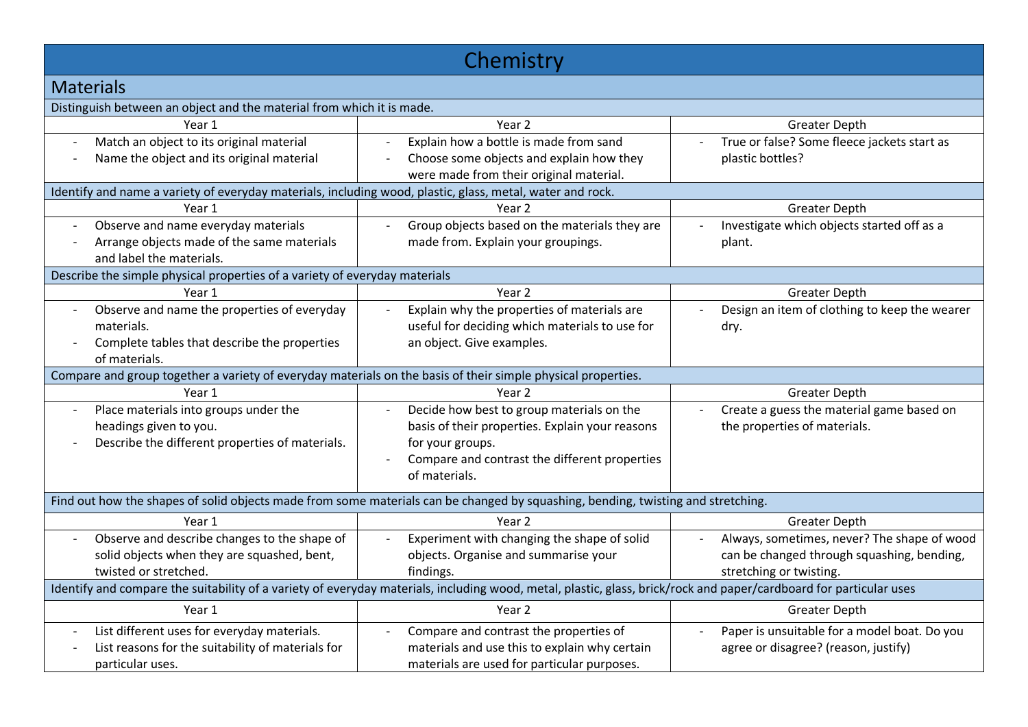| Chemistry                                                                                                                                                          |                                                                                                                                  |                                               |
|--------------------------------------------------------------------------------------------------------------------------------------------------------------------|----------------------------------------------------------------------------------------------------------------------------------|-----------------------------------------------|
| <b>Materials</b>                                                                                                                                                   |                                                                                                                                  |                                               |
| Distinguish between an object and the material from which it is made.                                                                                              |                                                                                                                                  |                                               |
| Year 1                                                                                                                                                             | Year 2                                                                                                                           | <b>Greater Depth</b>                          |
| Match an object to its original material                                                                                                                           | Explain how a bottle is made from sand                                                                                           | True or false? Some fleece jackets start as   |
| Name the object and its original material                                                                                                                          | Choose some objects and explain how they                                                                                         | plastic bottles?                              |
|                                                                                                                                                                    | were made from their original material.                                                                                          |                                               |
| Identify and name a variety of everyday materials, including wood, plastic, glass, metal, water and rock.                                                          |                                                                                                                                  |                                               |
| Year 1                                                                                                                                                             | Year <sub>2</sub>                                                                                                                | <b>Greater Depth</b>                          |
| Observe and name everyday materials                                                                                                                                | Group objects based on the materials they are                                                                                    | Investigate which objects started off as a    |
| Arrange objects made of the same materials                                                                                                                         | made from. Explain your groupings.                                                                                               | plant.                                        |
| and label the materials.                                                                                                                                           |                                                                                                                                  |                                               |
| Describe the simple physical properties of a variety of everyday materials                                                                                         |                                                                                                                                  |                                               |
| Year 1                                                                                                                                                             | Year 2                                                                                                                           | <b>Greater Depth</b>                          |
| Observe and name the properties of everyday                                                                                                                        | Explain why the properties of materials are                                                                                      | Design an item of clothing to keep the wearer |
| materials.                                                                                                                                                         | useful for deciding which materials to use for                                                                                   | dry.                                          |
| Complete tables that describe the properties                                                                                                                       | an object. Give examples.                                                                                                        |                                               |
| of materials.                                                                                                                                                      |                                                                                                                                  |                                               |
| Compare and group together a variety of everyday materials on the basis of their simple physical properties.                                                       |                                                                                                                                  |                                               |
| Year 1                                                                                                                                                             | Year 2                                                                                                                           | <b>Greater Depth</b>                          |
| Place materials into groups under the                                                                                                                              | Decide how best to group materials on the                                                                                        | Create a guess the material game based on     |
| headings given to you.                                                                                                                                             | basis of their properties. Explain your reasons                                                                                  | the properties of materials.                  |
| Describe the different properties of materials.                                                                                                                    | for your groups.                                                                                                                 |                                               |
|                                                                                                                                                                    | Compare and contrast the different properties                                                                                    |                                               |
|                                                                                                                                                                    | of materials.                                                                                                                    |                                               |
|                                                                                                                                                                    | Find out how the shapes of solid objects made from some materials can be changed by squashing, bending, twisting and stretching. |                                               |
| Year 1                                                                                                                                                             | Year 2                                                                                                                           | <b>Greater Depth</b>                          |
| Observe and describe changes to the shape of                                                                                                                       | Experiment with changing the shape of solid                                                                                      | Always, sometimes, never? The shape of wood   |
| solid objects when they are squashed, bent,                                                                                                                        | objects. Organise and summarise your                                                                                             | can be changed through squashing, bending,    |
| twisted or stretched.                                                                                                                                              | findings.                                                                                                                        | stretching or twisting.                       |
| Identify and compare the suitability of a variety of everyday materials, including wood, metal, plastic, glass, brick/rock and paper/cardboard for particular uses |                                                                                                                                  |                                               |
| Year 1                                                                                                                                                             | Year 2                                                                                                                           | <b>Greater Depth</b>                          |
| List different uses for everyday materials.                                                                                                                        | Compare and contrast the properties of                                                                                           | Paper is unsuitable for a model boat. Do you  |
| List reasons for the suitability of materials for                                                                                                                  | materials and use this to explain why certain                                                                                    | agree or disagree? (reason, justify)          |
| particular uses.                                                                                                                                                   | materials are used for particular purposes.                                                                                      |                                               |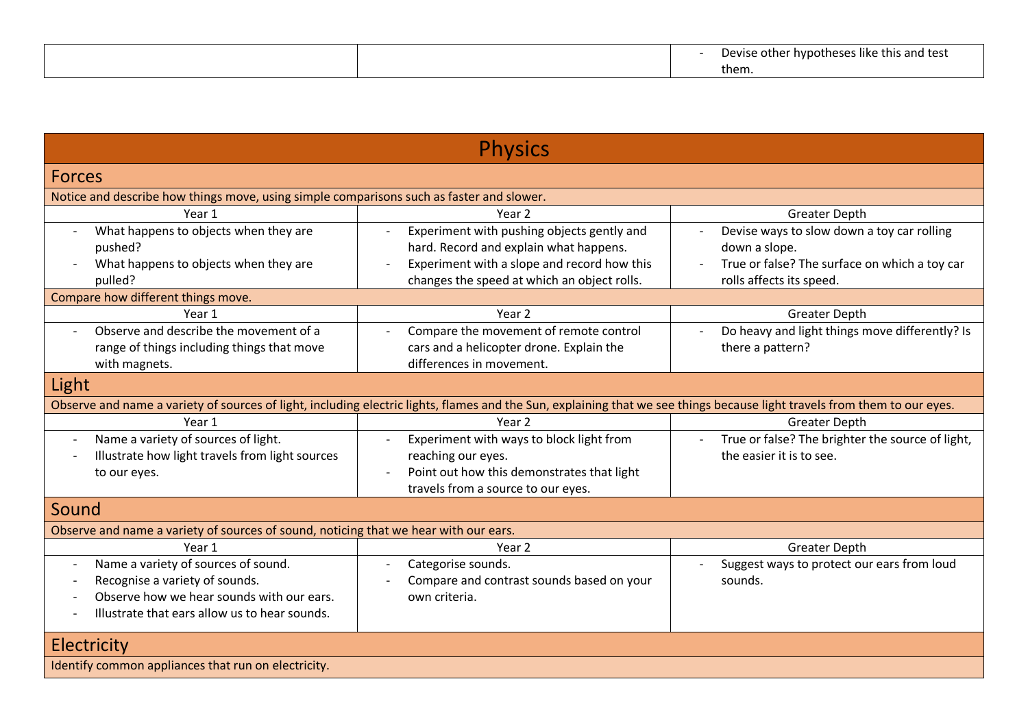|  | .<br>Devise other hypotheses like this and test |
|--|-------------------------------------------------|
|  | them.                                           |

| <b>Physics</b>                                                                           |                                                                                                                                                                           |                                                  |
|------------------------------------------------------------------------------------------|---------------------------------------------------------------------------------------------------------------------------------------------------------------------------|--------------------------------------------------|
| <b>Forces</b>                                                                            |                                                                                                                                                                           |                                                  |
| Notice and describe how things move, using simple comparisons such as faster and slower. |                                                                                                                                                                           |                                                  |
| Year 1                                                                                   | Year <sub>2</sub>                                                                                                                                                         | <b>Greater Depth</b>                             |
| What happens to objects when they are<br>$\overline{\phantom{a}}$                        | Experiment with pushing objects gently and                                                                                                                                | Devise ways to slow down a toy car rolling       |
| pushed?                                                                                  | hard. Record and explain what happens.                                                                                                                                    | down a slope.                                    |
| What happens to objects when they are                                                    | Experiment with a slope and record how this                                                                                                                               | True or false? The surface on which a toy car    |
| pulled?                                                                                  | changes the speed at which an object rolls.                                                                                                                               | rolls affects its speed.                         |
| Compare how different things move.                                                       |                                                                                                                                                                           |                                                  |
| Year 1                                                                                   | Year 2                                                                                                                                                                    | <b>Greater Depth</b>                             |
| Observe and describe the movement of a<br>$\sim$                                         | Compare the movement of remote control                                                                                                                                    | Do heavy and light things move differently? Is   |
| range of things including things that move                                               | cars and a helicopter drone. Explain the                                                                                                                                  | there a pattern?                                 |
| with magnets.                                                                            | differences in movement.                                                                                                                                                  |                                                  |
| Light                                                                                    |                                                                                                                                                                           |                                                  |
|                                                                                          | Observe and name a variety of sources of light, including electric lights, flames and the Sun, explaining that we see things because light travels from them to our eyes. |                                                  |
| Year 1                                                                                   | Year <sub>2</sub>                                                                                                                                                         | <b>Greater Depth</b>                             |
| Name a variety of sources of light.<br>$\overline{\phantom{a}}$                          | Experiment with ways to block light from<br>$\overline{\phantom{a}}$                                                                                                      | True or false? The brighter the source of light, |
| Illustrate how light travels from light sources                                          | reaching our eyes.                                                                                                                                                        | the easier it is to see.                         |
| to our eyes.                                                                             | Point out how this demonstrates that light                                                                                                                                |                                                  |
|                                                                                          | travels from a source to our eyes.                                                                                                                                        |                                                  |
| Sound                                                                                    |                                                                                                                                                                           |                                                  |
| Observe and name a variety of sources of sound, noticing that we hear with our ears.     |                                                                                                                                                                           |                                                  |
| Year 1                                                                                   | Year 2                                                                                                                                                                    | <b>Greater Depth</b>                             |
| Name a variety of sources of sound.<br>$\overline{\phantom{a}}$                          | Categorise sounds.                                                                                                                                                        | Suggest ways to protect our ears from loud       |
| Recognise a variety of sounds.                                                           | Compare and contrast sounds based on your                                                                                                                                 | sounds.                                          |
| Observe how we hear sounds with our ears.                                                | own criteria.                                                                                                                                                             |                                                  |
| Illustrate that ears allow us to hear sounds.                                            |                                                                                                                                                                           |                                                  |
| Electricity                                                                              |                                                                                                                                                                           |                                                  |
| Identify common appliances that run on electricity.                                      |                                                                                                                                                                           |                                                  |